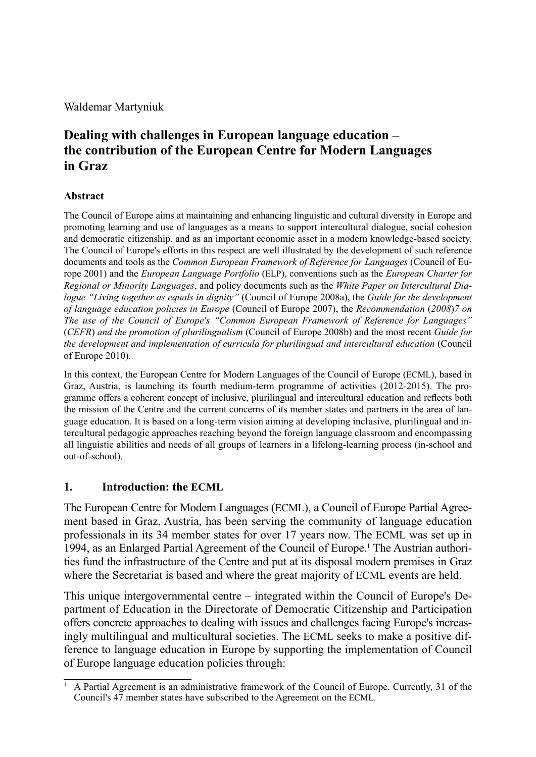Waldemar Martyniuk

# **Dealing with challenges in European language education – the contribution of the European Centre for Modern Languages in Graz**

#### **Abstract**

The Council of Europe aims at maintaining and enhancing linguistic and cultural diversity in Europe and promoting learning and use of languages as a means to support intercultural dialogue, social cohesion and democratic citizenship, and as an important economic asset in a modern knowledge-based society. The Council of Europe's efforts in this respect are well illustrated by the development of such reference documents and tools as the *Common European Framework of Reference for Languages* (Council of Europe 2001) and the *European Language Portfolio* (ELP), conventions such as the *European Charter for Regional or Minority Languages*, and policy documents such as the *White Paper on Intercultural Dialogue "Living together as equals in dignity"* (Council of Europe 2008a), the *Guide for the development of language education policies in Europe* (Council of Europe 2007), the *Recommendation* (*2008*)*7 on The use of the Council of Europe's "Common European Framework of Reference for Languages"*  (*CEFR*) *and the promotion of plurilingualism* (Council of Europe 2008b) and the most recent *Guide for the development and implementation of curricula for plurilingual and intercultural education* (Council of Europe 2010).

In this context, the European Centre for Modern Languages of the Council of Europe (ECML), based in Graz, Austria, is launching its fourth medium-term programme of activities (2012-2015). The programme offers a coherent concept of inclusive, plurilingual and intercultural education and reflects both the mission of the Centre and the current concerns of its member states and partners in the area of language education. It is based on a long-term vision aiming at developing inclusive, plurilingual and intercultural pedagogic approaches reaching beyond the foreign language classroom and encompassing all linguistic abilities and needs of all groups of learners in a lifelong-learning process (in-school and out-of-school).

### **1. Introduction: the ECML**

The European Centre for Modern Languages (ECML), a Council of Europe Partial Agreement based in Graz, Austria, has been serving the community of language education professionals in its 34 member states for over 17 years now. The ECML was set up in 1994, as an Enlarged Partial Agreement of the Council of Europe.<sup>1</sup> The Austrian authorities fund the infrastructure of the Centre and put at its disposal modern premises in Graz where the Secretariat is based and where the great majority of ECML events are held.

This unique intergovernmental centre – integrated within the Council of Europe's Department of Education in the Directorate of Democratic Citizenship and Participation offers concrete approaches to dealing with issues and challenges facing Europe's increasingly multilingual and multicultural societies. The ECML seeks to make a positive difference to language education in Europe by supporting the implementation of Council of Europe language education policies through:

<sup>1</sup> A Partial Agreement is an administrative framework of the Council of Europe. Currently, 31 of the Council's 47 member states have subscribed to the Agreement on the ECML.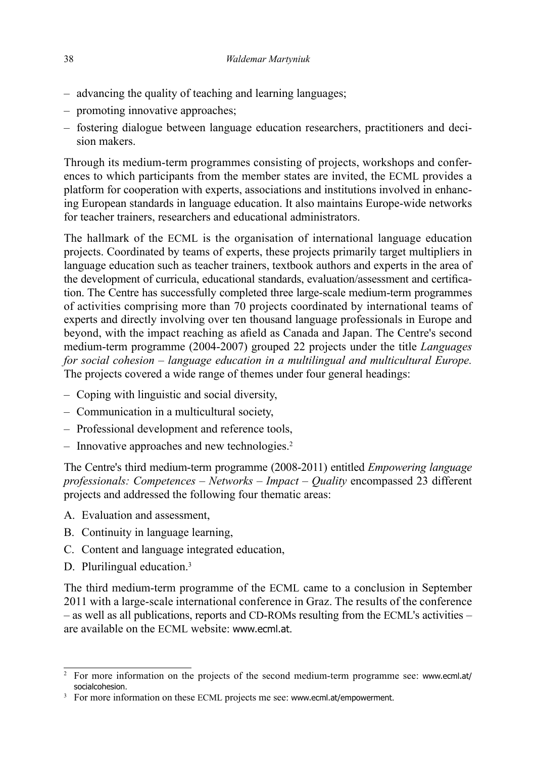- advancing the quality of teaching and learning languages;
- promoting innovative approaches;
- fostering dialogue between language education researchers, practitioners and decision makers.

Through its medium-term programmes consisting of projects, workshops and conferences to which participants from the member states are invited, the ECML provides a platform for cooperation with experts, associations and institutions involved in enhancing European standards in language education. It also maintains Europe-wide networks for teacher trainers, researchers and educational administrators.

The hallmark of the ECML is the organisation of international language education projects. Coordinated by teams of experts, these projects primarily target multipliers in language education such as teacher trainers, textbook authors and experts in the area of the development of curricula, educational standards, evaluation/assessment and certication. The Centre has successfully completed three large-scale medium-term programmes of activities comprising more than 70 projects coordinated by international teams of experts and directly involving over ten thousand language professionals in Europe and beyond, with the impact reaching as afield as Canada and Japan. The Centre's second medium-term programme (2004-2007) grouped 22 projects under the title *Languages for social cohesion – language education in a multilingual and multicultural Europe.* The projects covered a wide range of themes under four general headings:

- Coping with linguistic and social diversity, –
- Communication in a multicultural society, –
- Professional development and reference tools,
- Innovative approaches and new technologies.<sup>2</sup>

The Centre's third medium-term programme (2008-2011) entitled *Empowering language professionals: Competences – Networks – Impact – Quality* encompassed 23 different projects and addressed the following four thematic areas:

- A. Evaluation and assessment,
- B. Continuity in language learning,
- C. Content and language integrated education,
- D. Plurilingual education.<sup>3</sup>

The third medium-term programme of the ECML came to a conclusion in September 2011 with a large-scale international conference in Graz. The results of the conference – as well as all publications, reports and CD-ROMs resulting from the ECML's activities – are available on the ECML website: www.ecml.at.

<sup>&</sup>lt;sup>2</sup> For more information on the projects of the second medium-term programme see: www.ecml.at/ socialcohesion.

<sup>&</sup>lt;sup>3</sup> For more information on these ECML projects me see: www.ecml.at/empowerment.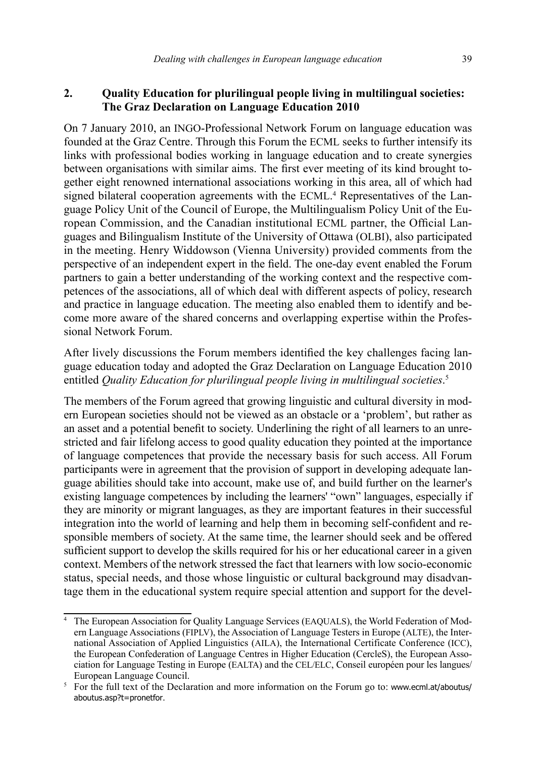#### **2. Quality Education for plurilingual people living in multilingual societies: The Graz Declaration on Language Education 2010**

On 7 January 2010, an INGO-Professional Network Forum on language education was founded at the Graz Centre. Through this Forum the ECML seeks to further intensify its links with professional bodies working in language education and to create synergies between organisations with similar aims. The first ever meeting of its kind brought together eight renowned international associations working in this area, all of which had signed bilateral cooperation agreements with the ECML. 4 Representatives of the Language Policy Unit of the Council of Europe, the Multilingualism Policy Unit of the European Commission, and the Canadian institutional ECML partner, the Official Languages and Bilingualism Institute of the University of Ottawa (OLBI), also participated in the meeting. Henry Widdowson (Vienna University) provided comments from the perspective of an independent expert in the field. The one-day event enabled the Forum partners to gain a better understanding of the working context and the respective competences of the associations, all of which deal with different aspects of policy, research and practice in language education. The meeting also enabled them to identify and become more aware of the shared concerns and overlapping expertise within the Professional Network Forum.

After lively discussions the Forum members identified the key challenges facing language education today and adopted the Graz Declaration on Language Education 2010 entitled *Quality Education for plurilingual people living in multilingual societies*. 5

The members of the Forum agreed that growing linguistic and cultural diversity in modern European societies should not be viewed as an obstacle or a 'problem', but rather as an asset and a potential benefit to society. Underlining the right of all learners to an unrestricted and fair lifelong access to good quality education they pointed at the importance of language competences that provide the necessary basis for such access. All Forum participants were in agreement that the provision of support in developing adequate language abilities should take into account, make use of, and build further on the learner's existing language competences by including the learners' "own" languages, especially if they are minority or migrant languages, as they are important features in their successful integration into the world of learning and help them in becoming self-confident and responsible members of society. At the same time, the learner should seek and be offered sufficient support to develop the skills required for his or her educational career in a given context. Members of the network stressed the fact that learners with low socio-economic status, special needs, and those whose linguistic or cultural background may disadvantage them in the educational system require special attention and support for the devel-

<sup>&</sup>lt;sup>4</sup> The European Association for Quality Language Services (EAQUALS), the World Federation of Modern Language Associations (FIPLV), the Association of Language Testers in Europe (ALTE), the International Association of Applied Linguistics (AILA), the International Certificate Conference (ICC), the European Confederation of Language Centres in Higher Education (CercleS), the European Association for Language Testing in Europe (EALTA) and the CEL/ELC, Conseil européen pour les langues/ European Language Council.

<sup>&</sup>lt;sup>5</sup> For the full text of the Declaration and more information on the Forum go to: www.ecml.at/aboutus/ aboutus.asp?t=pronetfor.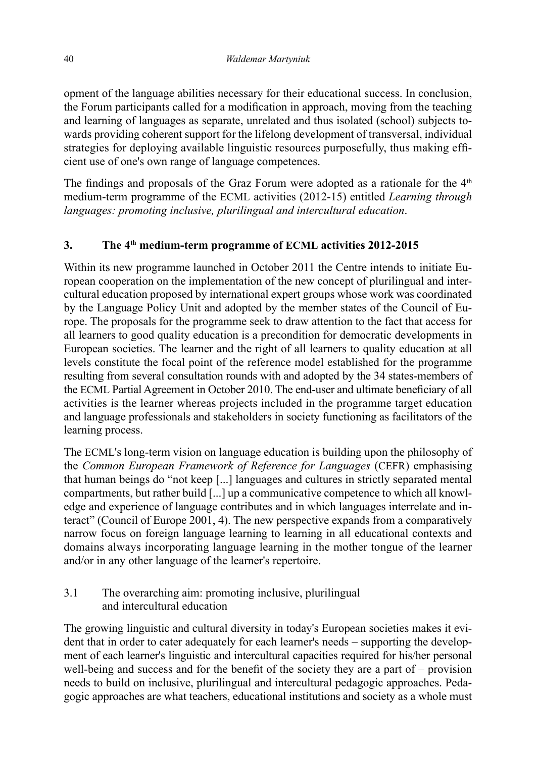opment of the language abilities necessary for their educational success. In conclusion, the Forum participants called for a modification in approach, moving from the teaching and learning of languages as separate, unrelated and thus isolated (school) subjects towards providing coherent support for the lifelong development of transversal, individual strategies for deploying available linguistic resources purposefully, thus making efficient use of one's own range of language competences.

The findings and proposals of the Graz Forum were adopted as a rationale for the  $4<sup>th</sup>$ medium-term programme of the ECML activities (2012-15) entitled *Learning through languages: promoting inclusive, plurilingual and intercultural education*.

## **3. The 4th medium-term programme of ECML activities 2012-2015**

Within its new programme launched in October 2011 the Centre intends to initiate European cooperation on the implementation of the new concept of plurilingual and intercultural education proposed by international expert groups whose work was coordinated by the Language Policy Unit and adopted by the member states of the Council of Europe. The proposals for the programme seek to draw attention to the fact that access for all learners to good quality education is a precondition for democratic developments in European societies. The learner and the right of all learners to quality education at all levels constitute the focal point of the reference model established for the programme resulting from several consultation rounds with and adopted by the 34 states-members of the ECML Partial Agreement in October 2010. The end-user and ultimate beneficiary of all activities is the learner whereas projects included in the programme target education and language professionals and stakeholders in society functioning as facilitators of the learning process.

The ECML's long-term vision on language education is building upon the philosophy of the *Common European Framework of Reference for Languages* (CEFR) emphasising that human beings do "not keep [...] languages and cultures in strictly separated mental compartments, but rather build [...] up a communicative competence to which all knowledge and experience of language contributes and in which languages interrelate and interact" (Council of Europe 2001, 4). The new perspective expands from a comparatively narrow focus on foreign language learning to learning in all educational contexts and domains always incorporating language learning in the mother tongue of the learner and/or in any other language of the learner's repertoire.

3.1 The overarching aim: promoting inclusive, plurilingual and intercultural education

The growing linguistic and cultural diversity in today's European societies makes it evident that in order to cater adequately for each learner's needs – supporting the development of each learner's linguistic and intercultural capacities required for his/her personal well-being and success and for the benefit of the society they are a part of  $-$  provision needs to build on inclusive, plurilingual and intercultural pedagogic approaches. Pedagogic approaches are what teachers, educational institutions and society as a whole must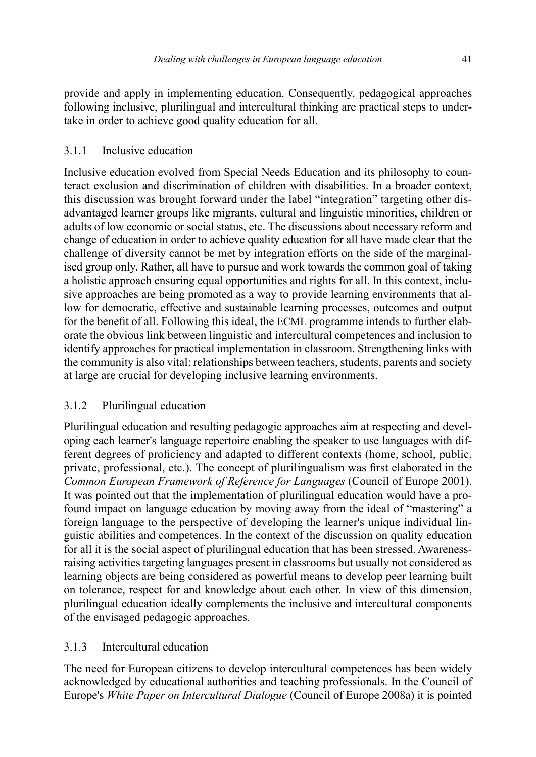provide and apply in implementing education. Consequently, pedagogical approaches following inclusive, plurilingual and intercultural thinking are practical steps to undertake in order to achieve good quality education for all.

## 3.1.1 Inclusive education

Inclusive education evolved from Special Needs Education and its philosophy to counteract exclusion and discrimination of children with disabilities. In a broader context, this discussion was brought forward under the label "integration" targeting other disadvantaged learner groups like migrants, cultural and linguistic minorities, children or adults of low economic or social status, etc. The discussions about necessary reform and change of education in order to achieve quality education for all have made clear that the challenge of diversity cannot be met by integration efforts on the side of the marginalised group only. Rather, all have to pursue and work towards the common goal of taking a holistic approach ensuring equal opportunities and rights for all. In this context, inclusive approaches are being promoted as a way to provide learning environments that allow for democratic, effective and sustainable learning processes, outcomes and output for the benefit of all. Following this ideal, the ECML programme intends to further elaborate the obvious link between linguistic and intercultural competences and inclusion to identify approaches for practical implementation in classroom. Strengthening links with the community is also vital: relationships between teachers, students, parents and society at large are crucial for developing inclusive learning environments.

# 3.1.2 Plurilingual education

Plurilingual education and resulting pedagogic approaches aim at respecting and developing each learner's language repertoire enabling the speaker to use languages with different degrees of proficiency and adapted to different contexts (home, school, public, private, professional, etc.). The concept of plurilingualism was first elaborated in the *Common European Framework of Reference for Languages* (Council of Europe 2001). It was pointed out that the implementation of plurilingual education would have a profound impact on language education by moving away from the ideal of "mastering" a foreign language to the perspective of developing the learner's unique individual linguistic abilities and competences. In the context of the discussion on quality education for all it is the social aspect of plurilingual education that has been stressed. Awarenessraising activities targeting languages present in classrooms but usually not considered as learning objects are being considered as powerful means to develop peer learning built on tolerance, respect for and knowledge about each other. In view of this dimension, plurilingual education ideally complements the inclusive and intercultural components of the envisaged pedagogic approaches.

## 3.1.3 Intercultural education

The need for European citizens to develop intercultural competences has been widely acknowledged by educational authorities and teaching professionals. In the Council of Europe's *White Paper on Intercultural Dialogue* (Council of Europe 2008a) it is pointed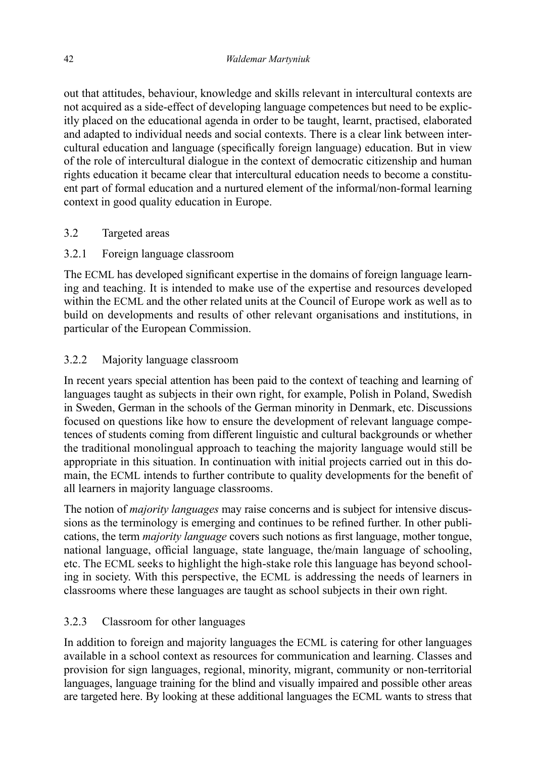out that attitudes, behaviour, knowledge and skills relevant in intercultural contexts are not acquired as a side-effect of developing language competences but need to be explicitly placed on the educational agenda in order to be taught, learnt, practised, elaborated and adapted to individual needs and social contexts. There is a clear link between intercultural education and language (specifically foreign language) education. But in view of the role of intercultural dialogue in the context of democratic citizenship and human rights education it became clear that intercultural education needs to become a constituent part of formal education and a nurtured element of the informal/non-formal learning context in good quality education in Europe.

#### 3.2 Targeted areas

3.2.1 Foreign language classroom

The ECML has developed significant expertise in the domains of foreign language learning and teaching. It is intended to make use of the expertise and resources developed within the ECML and the other related units at the Council of Europe work as well as to build on developments and results of other relevant organisations and institutions, in particular of the European Commission.

### 3.2.2 Majority language classroom

In recent years special attention has been paid to the context of teaching and learning of languages taught as subjects in their own right, for example, Polish in Poland, Swedish in Sweden, German in the schools of the German minority in Denmark, etc. Discussions focused on questions like how to ensure the development of relevant language competences of students coming from different linguistic and cultural backgrounds or whether the traditional monolingual approach to teaching the majority language would still be appropriate in this situation. In continuation with initial projects carried out in this domain, the ECML intends to further contribute to quality developments for the benefit of all learners in majority language classrooms.

The notion of *majority languages* may raise concerns and is subject for intensive discussions as the terminology is emerging and continues to be refined further. In other publications, the term *majority language* covers such notions as first language, mother tongue, national language, official language, state language, the/main language of schooling, etc. The ECML seeks to highlight the high-stake role this language has beyond schooling in society. With this perspective, the ECML is addressing the needs of learners in classrooms where these languages are taught as school subjects in their own right.

## 3.2.3 Classroom for other languages

In addition to foreign and majority languages the ECML is catering for other languages available in a school context as resources for communication and learning. Classes and provision for sign languages, regional, minority, migrant, community or non-territorial languages, language training for the blind and visually impaired and possible other areas are targeted here. By looking at these additional languages the ECML wants to stress that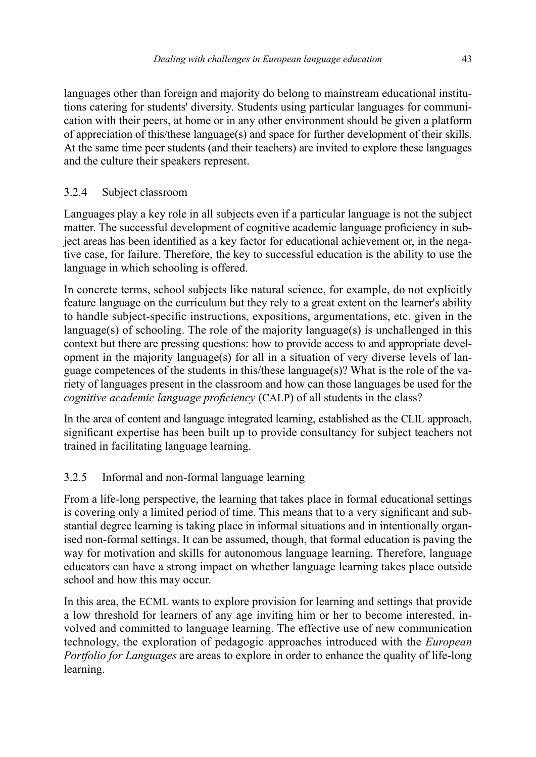languages other than foreign and majority do belong to mainstream educational institutions catering for students' diversity. Students using particular languages for communication with their peers, at home or in any other environment should be given a platform of appreciation of this/these language(s) and space for further development of their skills. At the same time peer students (and their teachers) are invited to explore these languages and the culture their speakers represent.

## 3.2.4 Subject classroom

Languages play a key role in all subjects even if a particular language is not the subject matter. The successful development of cognitive academic language proficiency in subject areas has been identified as a key factor for educational achievement or, in the negative case, for failure. Therefore, the key to successful education is the ability to use the language in which schooling is offered.

In concrete terms, school subjects like natural science, for example, do not explicitly feature language on the curriculum but they rely to a great extent on the learner's ability to handle subject-specific instructions, expositions, argumentations, etc. given in the language(s) of schooling. The role of the majority language(s) is unchallenged in this context but there are pressing questions: how to provide access to and appropriate development in the majority language(s) for all in a situation of very diverse levels of language competences of the students in this/these language(s)? What is the role of the variety of languages present in the classroom and how can those languages be used for the *cognitive academic language proficiency (CALP)* of all students in the class?

In the area of content and language integrated learning, established as the CLIL approach, significant expertise has been built up to provide consultancy for subject teachers not trained in facilitating language learning.

## 3.2.5 Informal and non-formal language learning

From a life-long perspective, the learning that takes place in formal educational settings is covering only a limited period of time. This means that to a very significant and substantial degree learning is taking place in informal situations and in intentionally organised non-formal settings. It can be assumed, though, that formal education is paving the way for motivation and skills for autonomous language learning. Therefore, language educators can have a strong impact on whether language learning takes place outside school and how this may occur.

In this area, the ECML wants to explore provision for learning and settings that provide a low threshold for learners of any age inviting him or her to become interested, involved and committed to language learning. The effective use of new communication technology, the exploration of pedagogic approaches introduced with the *European Portfolio for Languages* are areas to explore in order to enhance the quality of life-long learning.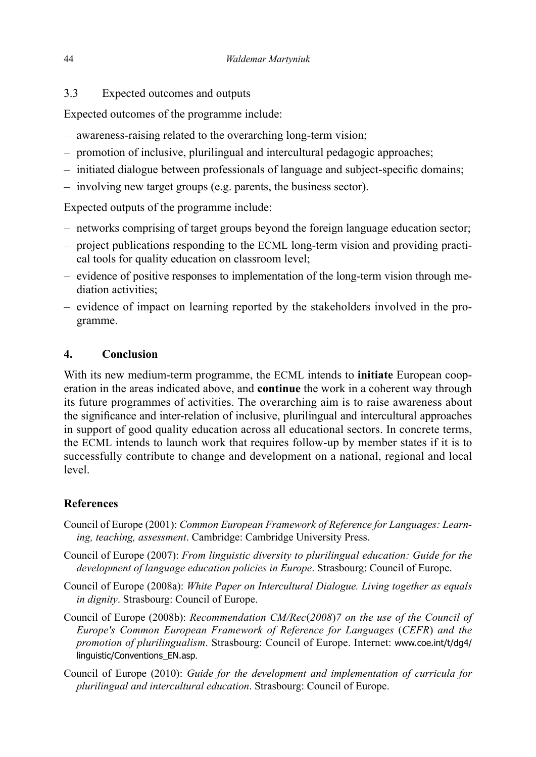3.3 Expected outcomes and outputs

Expected outcomes of the programme include:

- awareness-raising related to the overarching long-term vision;
- promotion of inclusive, plurilingual and intercultural pedagogic approaches;
- initiated dialogue between professionals of language and subject-specific domains;
- involving new target groups (e.g. parents, the business sector).

Expected outputs of the programme include:

- networks comprising of target groups beyond the foreign language education sector;
- project publications responding to the ECML long-term vision and providing practical tools for quality education on classroom level;
- evidence of positive responses to implementation of the long-term vision through mediation activities;
- evidence of impact on learning reported by the stakeholders involved in the programme.

## **4. Conclusion**

With its new medium-term programme, the ECML intends to **initiate** European cooperation in the areas indicated above, and **continue** the work in a coherent way through its future programmes of activities. The overarching aim is to raise awareness about the signicance and inter-relation of inclusive, plurilingual and intercultural approaches in support of good quality education across all educational sectors. In concrete terms, the ECML intends to launch work that requires follow-up by member states if it is to successfully contribute to change and development on a national, regional and local level.

# **References**

- Council of Europe (2001): *Common European Framework of Reference for Languages: Learning, teaching, assessment*. Cambridge: Cambridge University Press.
- Council of Europe (2007): *From linguistic diversity to plurilingual education: Guide for the development of language education policies in Europe*. Strasbourg: Council of Europe.
- Council of Europe (2008a): *White Paper on Intercultural Dialogue. Living together as equals in dignity*. Strasbourg: Council of Europe.
- Council of Europe (2008b): *Recommendation CM/Rec*(*2008*)*7 on the use of the Council of Europe's Common European Framework of Reference for Languages* (*CEFR*) *and the promotion of plurilingualism*. Strasbourg: Council of Europe. Internet: www.coe.int/t/dg4/ linguistic/Conventions\_EN.asp.
- Council of Europe (2010): *Guide for the development and implementation of curricula for plurilingual and intercultural education*. Strasbourg: Council of Europe.